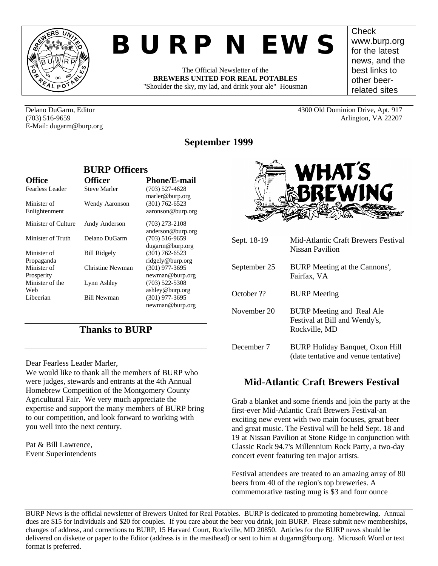

# *BURP NEWS*

The Official Newsletter of the **BREWERS UNITED FOR REAL POTABLES** "Shoulder the sky, my lad, and drink your ale" Housman **Check** www.burp.org for the latest news, and the best links to other beerrelated sites

Delano DuGarm, Editor 4300 Old Dominion Drive, Apt. 917 (703) 516-9659 Arlington, VA 22207 E-Mail: dugarm@burp.org

# **September 1999**

|                              | <b>BURP Officers</b> |                                         |
|------------------------------|----------------------|-----------------------------------------|
| <b>Office</b>                | <b>Officer</b>       | <b>Phone/E-mail</b>                     |
| Fearless Leader              | <b>Steve Marler</b>  | $(703)$ 527-4628<br>marler@burp.org     |
| Minister of<br>Enlightenment | Wendy Aaronson       | $(301) 762 - 6523$<br>aaronson@burp.org |
| Minister of Culture          | Andy Anderson        | $(703)$ 273-2108<br>anderson@burp.org   |
| Minister of Truth            | Delano DuGarm        | $(703)$ 516-9659<br>dugarm@burp.org     |
| Minister of<br>Propaganda    | <b>Bill Ridgely</b>  | $(301) 762 - 6523$<br>ridgely@burp.org  |
| Minister of<br>Prosperity    | Christine Newman     | $(301)$ 977-3695<br>newman@burp.org     |
| Minister of the<br>Web       | Lynn Ashley          | $(703)$ 522-5308<br>ashley@burp.org     |
| Libeerian                    | <b>Bill Newman</b>   | $(301)$ 977-3695<br>newman@burp.org     |

## **Thanks to BURP**

Dear Fearless Leader Marler,

We would like to thank all the members of BURP who were judges, stewards and entrants at the 4th Annual Homebrew Competition of the Montgomery County Agricultural Fair. We very much appreciate the expertise and support the many members of BURP bring to our competition, and look forward to working with you well into the next century.

Pat & Bill Lawrence, Event Superintendents



| Sept. 18-19  | Mid-Atlantic Craft Brewers Festival<br>Nissan Pavilion                             |
|--------------|------------------------------------------------------------------------------------|
| September 25 | BURP Meeting at the Cannons',<br>Fairfax, VA                                       |
| October ??   | <b>BURP</b> Meeting                                                                |
| November 20  | <b>BURP</b> Meeting and Real Ale<br>Festival at Bill and Wendy's,<br>Rockville, MD |
| December 7   | <b>BURP Holiday Banquet, Oxon Hill</b><br>(date tentative and venue tentative)     |

## **Mid-Atlantic Craft Brewers Festival**

Grab a blanket and some friends and join the party at the first-ever Mid-Atlantic Craft Brewers Festival-an exciting new event with two main focuses, great beer and great music. The Festival will be held Sept. 18 and 19 at Nissan Pavilion at Stone Ridge in conjunction with Classic Rock 94.7's Millennium Rock Party, a two-day concert event featuring ten major artists.

Festival attendees are treated to an amazing array of 80 beers from 40 of the region's top breweries. A commemorative tasting mug is \$3 and four ounce

BURP News is the official newsletter of Brewers United for Real Potables. BURP is dedicated to promoting homebrewing. Annual dues are \$15 for individuals and \$20 for couples. If you care about the beer you drink, join BURP. Please submit new memberships, changes of address, and corrections to BURP, 15 Harvard Court, Rockville, MD 20850. Articles for the BURP news should be delivered on diskette or paper to the Editor (address is in the masthead) or sent to him at dugarm@burp.org. Microsoft Word or text format is preferred.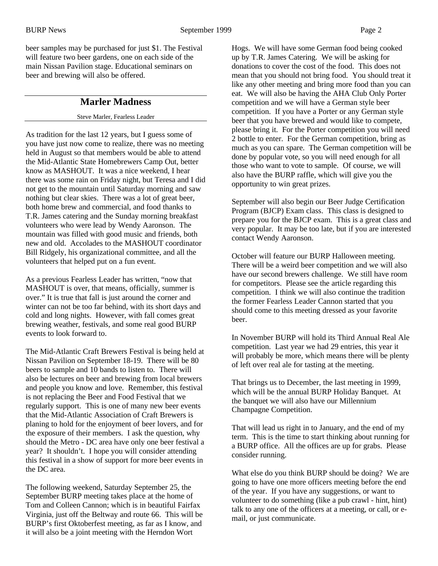beer samples may be purchased for just \$1. The Festival will feature two beer gardens, one on each side of the main Nissan Pavilion stage. Educational seminars on beer and brewing will also be offered.

## **Marler Madness**

#### Steve Marler, Fearless Leader

As tradition for the last 12 years, but I guess some of you have just now come to realize, there was no meeting held in August so that members would be able to attend the Mid-Atlantic State Homebrewers Camp Out, better know as MASHOUT. It was a nice weekend, I hear there was some rain on Friday night, but Teresa and I did not get to the mountain until Saturday morning and saw nothing but clear skies. There was a lot of great beer, both home brew and commercial, and food thanks to T.R. James catering and the Sunday morning breakfast volunteers who were lead by Wendy Aaronson. The mountain was filled with good music and friends, both new and old. Accolades to the MASHOUT coordinator Bill Ridgely, his organizational committee, and all the volunteers that helped put on a fun event.

As a previous Fearless Leader has written, "now that MASHOUT is over, that means, officially, summer is over." It is true that fall is just around the corner and winter can not be too far behind, with its short days and cold and long nights. However, with fall comes great brewing weather, festivals, and some real good BURP events to look forward to.

The Mid-Atlantic Craft Brewers Festival is being held at Nissan Pavilion on September 18-19. There will be 80 beers to sample and 10 bands to listen to. There will also be lectures on beer and brewing from local brewers and people you know and love. Remember, this festival is not replacing the Beer and Food Festival that we regularly support. This is one of many new beer events that the Mid-Atlantic Association of Craft Brewers is planing to hold for the enjoyment of beer lovers, and for the exposure of their members. I ask the question, why should the Metro - DC area have only one beer festival a year? It shouldn't. I hope you will consider attending this festival in a show of support for more beer events in the DC area.

The following weekend, Saturday September 25, the September BURP meeting takes place at the home of Tom and Colleen Cannon; which is in beautiful Fairfax Virginia, just off the Beltway and route 66. This will be BURP's first Oktoberfest meeting, as far as I know, and it will also be a joint meeting with the Herndon Wort

Hogs. We will have some German food being cooked up by T.R. James Catering. We will be asking for donations to cover the cost of the food. This does not mean that you should not bring food. You should treat it like any other meeting and bring more food than you can eat. We will also be having the AHA Club Only Porter competition and we will have a German style beer competition. If you have a Porter or any German style beer that you have brewed and would like to compete, please bring it. For the Porter competition you will need 2 bottle to enter. For the German competition, bring as much as you can spare. The German competition will be done by popular vote, so you will need enough for all those who want to vote to sample. Of course, we will also have the BURP raffle, which will give you the opportunity to win great prizes.

September will also begin our Beer Judge Certification Program (BJCP) Exam class. This class is designed to prepare you for the BJCP exam. This is a great class and very popular. It may be too late, but if you are interested contact Wendy Aaronson.

October will feature our BURP Halloween meeting. There will be a weird beer competition and we will also have our second brewers challenge. We still have room for competitors. Please see the article regarding this competition. I think we will also continue the tradition the former Fearless Leader Cannon started that you should come to this meeting dressed as your favorite beer.

In November BURP will hold its Third Annual Real Ale competition. Last year we had 29 entries, this year it will probably be more, which means there will be plenty of left over real ale for tasting at the meeting.

That brings us to December, the last meeting in 1999, which will be the annual BURP Holiday Banquet. At the banquet we will also have our Millennium Champagne Competition.

That will lead us right in to January, and the end of my term. This is the time to start thinking about running for a BURP office. All the offices are up for grabs. Please consider running.

What else do you think BURP should be doing? We are going to have one more officers meeting before the end of the year. If you have any suggestions, or want to volunteer to do something (like a pub crawl - hint, hint) talk to any one of the officers at a meeting, or call, or email, or just communicate.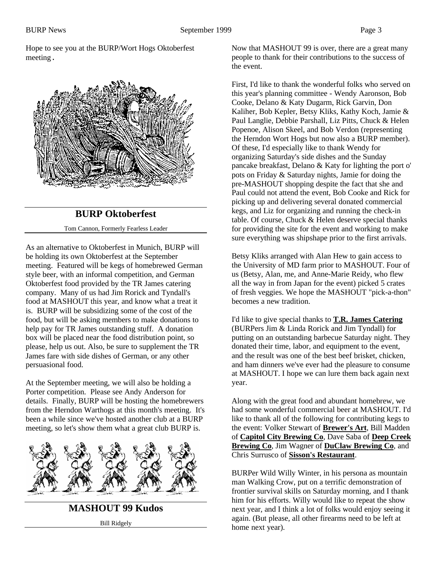Hope to see you at the BURP/Wort Hogs Oktoberfest meeting.



## **BURP Oktoberfest**

Tom Cannon, Formerly Fearless Leader

As an alternative to Oktoberfest in Munich, BURP will be holding its own Oktoberfest at the September meeting. Featured will be kegs of homebrewed German style beer, with an informal competition, and German Oktoberfest food provided by the TR James catering company. Many of us had Jim Rorick and Tyndall's food at MASHOUT this year, and know what a treat it is. BURP will be subsidizing some of the cost of the food, but will be asking members to make donations to help pay for TR James outstanding stuff. A donation box will be placed near the food distribution point, so please, help us out. Also, be sure to supplement the TR James fare with side dishes of German, or any other persuasional food.

At the September meeting, we will also be holding a Porter competition. Please see Andy Anderson for details. Finally, BURP will be hosting the homebrewers from the Herndon Warthogs at this month's meeting. It's been a while since we've hosted another club at a BURP meeting, so let's show them what a great club BURP is.



**MASHOUT 99 Kudos** Bill Ridgely

Now that MASHOUT 99 is over, there are a great many people to thank for their contributions to the success of the event.

First, I'd like to thank the wonderful folks who served on this year's planning committee - Wendy Aaronson, Bob Cooke, Delano & Katy Dugarm, Rick Garvin, Don Kaliher, Bob Kepler, Betsy Kliks, Kathy Koch, Jamie & Paul Langlie, Debbie Parshall, Liz Pitts, Chuck & Helen Popenoe, Alison Skeel, and Bob Verdon (representing the Herndon Wort Hogs but now also a BURP member). Of these, I'd especially like to thank Wendy for organizing Saturday's side dishes and the Sunday pancake breakfast, Delano & Katy for lighting the port o' pots on Friday & Saturday nights, Jamie for doing the pre-MASHOUT shopping despite the fact that she and Paul could not attend the event, Bob Cooke and Rick for picking up and delivering several donated commercial kegs, and Liz for organizing and running the check-in table. Of course, Chuck & Helen deserve special thanks for providing the site for the event and working to make sure everything was shipshape prior to the first arrivals.

Betsy Kliks arranged with Alan Hew to gain access to the University of MD farm prior to MASHOUT. Four of us (Betsy, Alan, me, and Anne-Marie Reidy, who flew all the way in from Japan for the event) picked 5 crates of fresh veggies. We hope the MASHOUT "pick-a-thon" becomes a new tradition.

I'd like to give special thanks to **T.R. James Catering** (BURPers Jim & Linda Rorick and Jim Tyndall) for putting on an outstanding barbecue Saturday night. They donated their time, labor, and equipment to the event, and the result was one of the best beef brisket, chicken, and ham dinners we've ever had the pleasure to consume at MASHOUT. I hope we can lure them back again next year.

Along with the great food and abundant homebrew, we had some wonderful commercial beer at MASHOUT. I'd like to thank all of the following for contributing kegs to the event: Volker Stewart of **Brewer's Art**, Bill Madden of **Capitol City Brewing Co**, Dave Saba of **Deep Creek Brewing Co**, Jim Wagner of **DuClaw Brewing Co**, and Chris Surrusco of **Sisson's Restaurant**.

BURPer Wild Willy Winter, in his persona as mountain man Walking Crow, put on a terrific demonstration of frontier survival skills on Saturday morning, and I thank him for his efforts. Willy would like to repeat the show next year, and I think a lot of folks would enjoy seeing it again. (But please, all other firearms need to be left at home next year).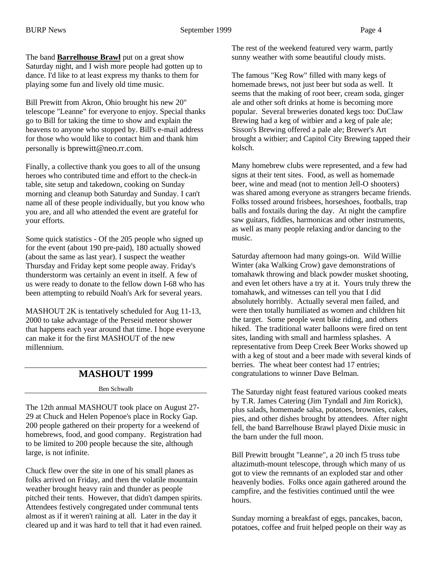The band **Barrelhouse Brawl** put on a great show Saturday night, and I wish more people had gotten up to dance. I'd like to at least express my thanks to them for playing some fun and lively old time music.

Bill Prewitt from Akron, Ohio brought his new 20" telescope "Leanne" for everyone to enjoy. Special thanks go to Bill for taking the time to show and explain the heavens to anyone who stopped by. Bill's e-mail address for those who would like to contact him and thank him personally is bprewitt@neo.rr.com.

Finally, a collective thank you goes to all of the unsung heroes who contributed time and effort to the check-in table, site setup and takedown, cooking on Sunday morning and cleanup both Saturday and Sunday. I can't name all of these people individually, but you know who you are, and all who attended the event are grateful for your efforts.

Some quick statistics - Of the 205 people who signed up for the event (about 190 pre-paid), 180 actually showed (about the same as last year). I suspect the weather Thursday and Friday kept some people away. Friday's thunderstorm was certainly an event in itself. A few of us were ready to donate to the fellow down I-68 who has been attempting to rebuild Noah's Ark for several years.

MASHOUT 2K is tentatively scheduled for Aug 11-13, 2000 to take advantage of the Perseid meteor shower that happens each year around that time. I hope everyone can make it for the first MASHOUT of the new millennium.

#### **MASHOUT 1999**

Ben Schwalb

The 12th annual MASHOUT took place on August 27- 29 at Chuck and Helen Popenoe's place in Rocky Gap. 200 people gathered on their property for a weekend of homebrews, food, and good company. Registration had to be limited to 200 people because the site, although large, is not infinite.

Chuck flew over the site in one of his small planes as folks arrived on Friday, and then the volatile mountain weather brought heavy rain and thunder as people pitched their tents. However, that didn't dampen spirits. Attendees festively congregated under communal tents almost as if it weren't raining at all. Later in the day it cleared up and it was hard to tell that it had even rained.

The rest of the weekend featured very warm, partly sunny weather with some beautiful cloudy mists.

The famous "Keg Row" filled with many kegs of homemade brews, not just beer but soda as well. It seems that the making of root beer, cream soda, ginger ale and other soft drinks at home is becoming more popular. Several breweries donated kegs too: DuClaw Brewing had a keg of witbier and a keg of pale ale; Sisson's Brewing offered a pale ale; Brewer's Art brought a witbier; and Capitol City Brewing tapped their kolsch.

Many homebrew clubs were represented, and a few had signs at their tent sites. Food, as well as homemade beer, wine and mead (not to mention Jell-O shooters) was shared among everyone as strangers became friends. Folks tossed around frisbees, horseshoes, footballs, trap balls and foxtails during the day. At night the campfire saw guitars, fiddles, harmonicas and other instruments, as well as many people relaxing and/or dancing to the music.

Saturday afternoon had many goings-on. Wild Willie Winter (aka Walking Crow) gave demonstrations of tomahawk throwing and black powder musket shooting, and even let others have a try at it. Yours truly threw the tomahawk, and witnesses can tell you that I did absolutely horribly. Actually several men failed, and were then totally humiliated as women and children hit the target. Some people went bike riding, and others hiked. The traditional water balloons were fired on tent sites, landing with small and harmless splashes. A representative from Deep Creek Beer Works showed up with a keg of stout and a beer made with several kinds of berries. The wheat beer contest had 17 entries; congratulations to winner Dave Belman.

The Saturday night feast featured various cooked meats by T.R. James Catering (Jim Tyndall and Jim Rorick), plus salads, homemade salsa, potatoes, brownies, cakes, pies, and other dishes brought by attendees. After night fell, the band Barrelhouse Brawl played Dixie music in the barn under the full moon.

Bill Prewitt brought "Leanne", a 20 inch f5 truss tube altazimuth-mount telescope, through which many of us got to view the remnants of an exploded star and other heavenly bodies. Folks once again gathered around the campfire, and the festivities continued until the wee hours.

Sunday morning a breakfast of eggs, pancakes, bacon, potatoes, coffee and fruit helped people on their way as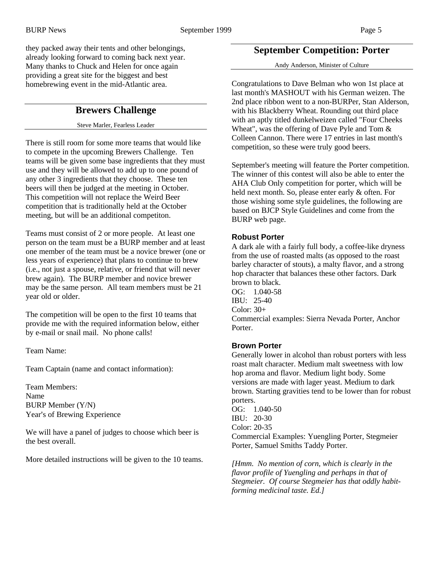they packed away their tents and other belongings, already looking forward to coming back next year. Many thanks to Chuck and Helen for once again providing a great site for the biggest and best homebrewing event in the mid-Atlantic area.

## **Brewers Challenge**

Steve Marler, Fearless Leader

There is still room for some more teams that would like to compete in the upcoming Brewers Challenge. Ten teams will be given some base ingredients that they must use and they will be allowed to add up to one pound of any other 3 ingredients that they choose. These ten beers will then be judged at the meeting in October. This competition will not replace the Weird Beer competition that is traditionally held at the October meeting, but will be an additional competiton.

Teams must consist of 2 or more people. At least one person on the team must be a BURP member and at least one member of the team must be a novice brewer (one or less years of experience) that plans to continue to brew (i.e., not just a spouse, relative, or friend that will never brew again). The BURP member and novice brewer may be the same person. All team members must be 21 year old or older.

The competition will be open to the first 10 teams that provide me with the required information below, either by e-mail or snail mail. No phone calls!

Team Name:

Team Captain (name and contact information):

Team Members: Name BURP Member (Y/N) Year's of Brewing Experience

We will have a panel of judges to choose which beer is the best overall.

More detailed instructions will be given to the 10 teams.

### **September Competition: Porter**

Andy Anderson, Minister of Culture

Congratulations to Dave Belman who won 1st place at last month's MASHOUT with his German weizen. The 2nd place ribbon went to a non-BURPer, Stan Alderson, with his Blackberry Wheat. Rounding out third place with an aptly titled dunkelweizen called "Four Cheeks Wheat", was the offering of Dave Pyle and Tom & Colleen Cannon. There were 17 entries in last month's competition, so these were truly good beers.

September's meeting will feature the Porter competition. The winner of this contest will also be able to enter the AHA Club Only competition for porter, which will be held next month. So, please enter early & often. For those wishing some style guidelines, the following are based on BJCP Style Guidelines and come from the BURP web page.

#### **Robust Porter**

A dark ale with a fairly full body, a coffee-like dryness from the use of roasted malts (as opposed to the roast barley character of stouts), a malty flavor, and a strong hop character that balances these other factors. Dark brown to black. OG: 1.040-58 IBU: 25-40 Color: 30+ Commercial examples: Sierra Nevada Porter, Anchor Porter.

#### **Brown Porter**

Generally lower in alcohol than robust porters with less roast malt character. Medium malt sweetness with low hop aroma and flavor. Medium light body. Some versions are made with lager yeast. Medium to dark brown. Starting gravities tend to be lower than for robust porters.

OG: 1.040-50 IBU: 20-30 Color: 20-35 Commercial Examples: Yuengling Porter, Stegmeier Porter, Samuel Smiths Taddy Porter.

*[Hmm. No mention of corn, which is clearly in the flavor profile of Yuengling and perhaps in that of Stegmeier. Of course Stegmeier has that oddly habitforming medicinal taste. Ed.]*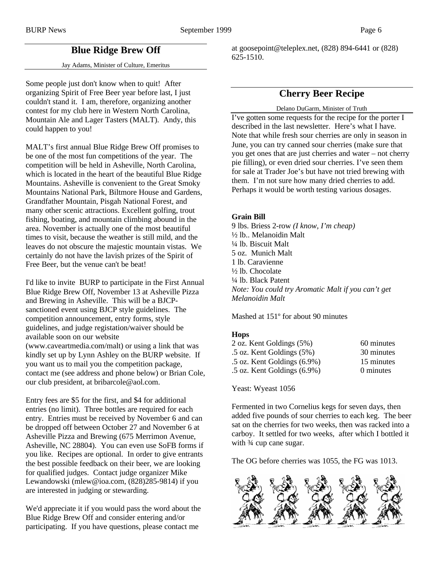## **Blue Ridge Brew Off**

#### Jay Adams, Minister of Culture, Emeritus

Some people just don't know when to quit! After organizing Spirit of Free Beer year before last, I just couldn't stand it. I am, therefore, organizing another contest for my club here in Western North Carolina, Mountain Ale and Lager Tasters (MALT). Andy, this could happen to you!

MALT's first annual Blue Ridge Brew Off promises to be one of the most fun competitions of the year. The competition will be held in Asheville, North Carolina, which is located in the heart of the beautiful Blue Ridge Mountains. Asheville is convenient to the Great Smoky Mountains National Park, Biltmore House and Gardens, Grandfather Mountain, Pisgah National Forest, and many other scenic attractions. Excellent golfing, trout fishing, boating, and mountain climbing abound in the area. November is actually one of the most beautiful times to visit, because the weather is still mild, and the leaves do not obscure the majestic mountain vistas. We certainly do not have the lavish prizes of the Spirit of Free Beer, but the venue can't be beat!

I'd like to invite BURP to participate in the First Annual Blue Ridge Brew Off, November 13 at Asheville Pizza and Brewing in Asheville. This will be a BJCPsanctioned event using BJCP style guidelines. The competition announcement, entry forms, style guidelines, and judge registation/waiver should be available soon on our website (www.caveartmedia.com/malt) or using a link that was kindly set up by Lynn Ashley on the BURP website. If you want us to mail you the competition package, contact me (see address and phone below) or Brian Cole, our club president, at bribarcole@aol.com.

Entry fees are \$5 for the first, and \$4 for additional entries (no limit). Three bottles are required for each entry. Entries must be received by November 6 and can be dropped off between October 27 and November 6 at Asheville Pizza and Brewing (675 Merrimon Avenue, Asheville, NC 28804). You can even use SoFB forms if you like. Recipes are optional. In order to give entrants the best possible feedback on their beer, we are looking for qualified judges. Contact judge organizer Mike Lewandowski (mlew@ioa.com, (828)285-9814) if you are interested in judging or stewarding.

We'd appreciate it if you would pass the word about the Blue Ridge Brew Off and consider entering and/or participating. If you have questions, please contact me

at goosepoint@teleplex.net, (828) 894-6441 or (828) 625-1510.

## **Cherry Beer Recipe**

#### Delano DuGarm, Minister of Truth

I've gotten some requests for the recipe for the porter I described in the last newsletter. Here's what I have. Note that while fresh sour cherries are only in season in June, you can try canned sour cherries (make sure that you get ones that are just cherries and water – not cherry pie filling), or even dried sour cherries. I've seen them for sale at Trader Joe's but have not tried brewing with them. I'm not sure how many dried cherries to add. Perhaps it would be worth testing various dosages.

#### **Grain Bill**

9 lbs. Briess 2-row *(I know, I'm cheap)* ½ lb.. Melanoidin Malt ¼ lb. Biscuit Malt 5 oz. Munich Malt 1 lb. Caravienne ½ lb. Chocolate ¼ lb. Black Patent *Note: You could try Aromatic Malt if you can't get Melanoidin Malt*

Mashed at 151º for about 90 minutes

#### **Hops**

| 60 minutes |
|------------|
| 30 minutes |
| 15 minutes |
| 0 minutes  |
|            |

Yeast: Wyeast 1056

Fermented in two Cornelius kegs for seven days, then added five pounds of sour cherries to each keg. The beer sat on the cherries for two weeks, then was racked into a carboy. It settled for two weeks, after which I bottled it with  $\frac{3}{4}$  cup cane sugar.

The OG before cherries was 1055, the FG was 1013.